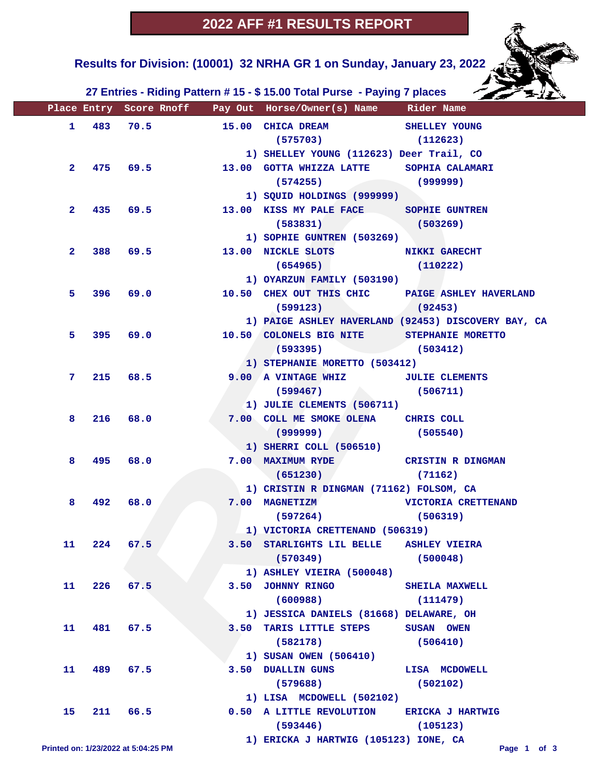**Results for Division: (10001) 32 NRHA GR 1 on Sunday, January 23, 2022** 



|                |             |                                     |            | Place Entry Score Rnoff Pay Out Horse/Owner(s) Name Rider Name |                                                     |
|----------------|-------------|-------------------------------------|------------|----------------------------------------------------------------|-----------------------------------------------------|
|                |             |                                     | 1 483 70.5 | 15.00 CHICA DREAM SHELLEY YOUNG                                |                                                     |
|                |             |                                     |            | $(575703)$ $(112623)$                                          |                                                     |
|                |             |                                     |            | 1) SHELLEY YOUNG (112623) Deer Trail, CO                       |                                                     |
| $\mathbf{2}$   |             |                                     | 475 69.5   | 13.00 GOTTA WHIZZA LATTE SOPHIA CALAMARI                       |                                                     |
|                |             |                                     |            | $(574255)$ (999999)                                            |                                                     |
|                |             |                                     |            | 1) SQUID HOLDINGS (999999)                                     |                                                     |
| 2 <sup>1</sup> |             | 435 69.5                            |            | 13.00 KISS MY PALE FACE SOPHIE GUNTREN                         |                                                     |
|                |             |                                     |            | $(583831)$ $(503269)$                                          |                                                     |
|                |             |                                     |            | 1) SOPHIE GUNTREN (503269)                                     |                                                     |
| $\mathbf{2}^-$ |             |                                     | 388 69.5   | 13.00 NICKLE SLOTS NIKKI GARECHT                               |                                                     |
|                |             |                                     |            | $(654965)$ (110222)                                            |                                                     |
|                |             |                                     |            | 1) OYARZUN FAMILY (503190)                                     |                                                     |
| 5.             |             | 396 69.0                            |            |                                                                | 10.50 CHEX OUT THIS CHIC PAIGE ASHLEY HAVERLAND     |
|                |             |                                     |            | $(599123)$ (92453)                                             |                                                     |
|                |             |                                     |            |                                                                | 1) PAIGE ASHLEY HAVERLAND (92453) DISCOVERY BAY, CA |
| 5.             |             |                                     |            | 395 69.0 10.50 COLONELS BIG NITE STEPHANIE MORETTO             |                                                     |
|                |             |                                     |            | $(593395)$ (503412)                                            |                                                     |
|                |             |                                     |            | 1) STEPHANIE MORETTO (503412)                                  |                                                     |
| 7.             |             | 215 68.5                            |            | 9.00 A VINTAGE WHIZ JULIE CLEMENTS                             |                                                     |
|                |             |                                     |            | $(599467)$ (506711)                                            |                                                     |
|                |             |                                     |            | 1) JULIE CLEMENTS (506711)                                     |                                                     |
| 8              |             | 216 68.0                            |            | 7.00 COLL ME SMOKE OLENA CHRIS COLL                            |                                                     |
|                |             |                                     |            | $(999999)$ (505540)                                            |                                                     |
|                |             |                                     |            | 1) SHERRI COLL (506510)                                        |                                                     |
| 8              |             | 495 68.0                            |            | 7.00 MAXIMUM RYDE CRISTIN R DINGMAN                            |                                                     |
|                |             |                                     |            | $(651230)$ (71162)                                             |                                                     |
|                |             |                                     |            | 1) CRISTIN R DINGMAN (71162) FOLSOM, CA                        |                                                     |
| 8              |             | 492 68.0                            |            |                                                                | 7.00 MAGNETIZM VICTORIA CRETTENAND                  |
|                |             |                                     |            | $(597264)$ (506319)                                            |                                                     |
|                |             |                                     |            | 1) VICTORIA CRETTENAND (506319)                                |                                                     |
|                | 11 224 67.5 |                                     |            | 3.50 STARLIGHTS LIL BELLE ASHLEY VIEIRA                        |                                                     |
|                |             |                                     |            | (570349)                                                       | (500048)                                            |
|                |             |                                     |            | 1) ASHLEY VIEIRA (500048)                                      |                                                     |
| 11             |             | $226$ 67.5                          |            | 3.50 JOHNNY RINGO SHEILA MAXWELL                               |                                                     |
|                |             |                                     |            | (600988)                                                       | (111479)                                            |
|                |             |                                     |            | 1) JESSICA DANIELS (81668) DELAWARE, OH                        |                                                     |
| 11             |             | 481 67.5                            |            | 3.50 TARIS LITTLE STEPS SUSAN OWEN                             |                                                     |
|                |             |                                     |            | (582178)                                                       | (506410)                                            |
|                |             |                                     |            | 1) SUSAN OWEN (506410)                                         |                                                     |
| 11             |             | 489 67.5                            |            | 3.50 DUALLIN GUNS LISA MCDOWELL                                |                                                     |
|                |             |                                     |            | $(579688)$ (502102)                                            |                                                     |
|                |             |                                     |            | 1) LISA MCDOWELL (502102)                                      |                                                     |
| 15             |             | 211 66.5                            |            | 0.50 A LITTLE REVOLUTION ERICKA J HARTWIG                      |                                                     |
|                |             |                                     |            | (593446)                                                       | (105123)                                            |
|                |             | Printed on: 1/23/2022 at 5:04:25 PM |            | 1) ERICKA J HARTWIG (105123) IONE, CA                          | Page 1 of 3                                         |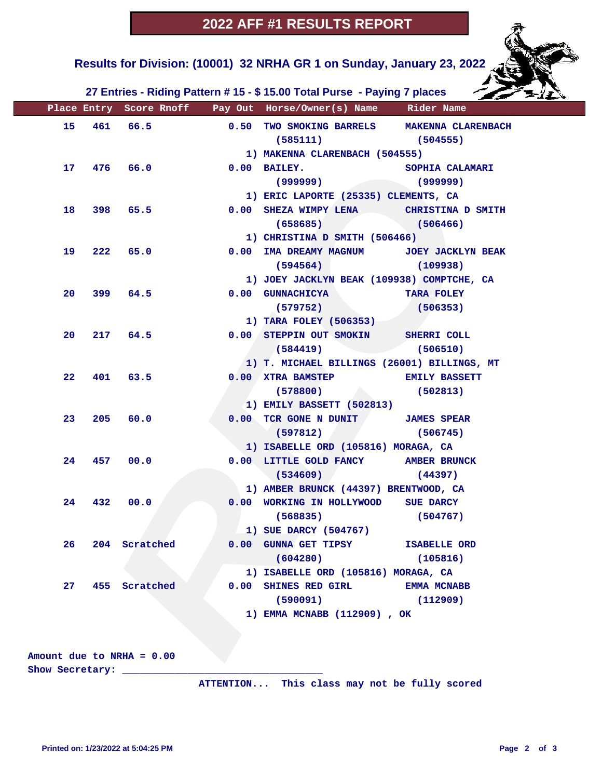## **2022 AFF #1 RESULTS REPORT**

 **Results for Division: (10001) 32 NRHA GR 1 on Sunday, January 23, 2022** 

 **27 Entries - Riding Pattern # 15 - \$ 15.00 Total Purse - Paying 7 places**

|                 |     |               |      | Place Entry Score Rnoff Pay Out Horse/Owner(s) Name Rider Name |                        |  |  |  |
|-----------------|-----|---------------|------|----------------------------------------------------------------|------------------------|--|--|--|
| 15              |     | 461 66.5      |      | 0.50 TWO SMOKING BARRELS MAKENNA CLARENBACH                    |                        |  |  |  |
|                 |     |               |      | $(585111)$ (504555)                                            |                        |  |  |  |
|                 |     |               |      | 1) MAKENNA CLARENBACH (504555)                                 |                        |  |  |  |
| 17              |     | $476$ 66.0    |      | $0.00$ BAILEY.                                                 | <b>SOPHIA CALAMARI</b> |  |  |  |
|                 |     |               |      | (999999)                                                       | (999999)               |  |  |  |
|                 |     |               |      | 1) ERIC LAPORTE (25335) CLEMENTS, CA                           |                        |  |  |  |
| 18              |     | 398 65.5      |      | 0.00 SHEZA WIMPY LENA CHRISTINA D SMITH                        |                        |  |  |  |
|                 |     |               |      | $(658685)$ (506466)                                            |                        |  |  |  |
|                 |     |               |      | 1) CHRISTINA D SMITH (506466)                                  |                        |  |  |  |
| 19              |     | 222 65.0      | 0.00 | IMA DREAMY MAGNUM JOEY JACKLYN BEAK                            |                        |  |  |  |
|                 |     |               |      | (594564)                                                       | (109938)               |  |  |  |
|                 |     |               |      | 1) JOEY JACKLYN BEAK (109938) COMPTCHE, CA                     |                        |  |  |  |
| 20              |     | 399 64.5      |      | 0.00 GUNNACHICYA                                               | <b>TARA FOLEY</b>      |  |  |  |
|                 |     |               |      | (579752)                                                       | (506353)               |  |  |  |
|                 |     |               |      | 1) TARA FOLEY (506353)                                         |                        |  |  |  |
| 20              |     | 217 64.5      |      | 0.00 STEPPIN OUT SMOKIN SHERRI COLL                            |                        |  |  |  |
|                 |     |               |      | (584419)                                                       | (506510)               |  |  |  |
|                 |     |               |      | 1) T. MICHAEL BILLINGS (26001) BILLINGS, MT                    |                        |  |  |  |
| 22              |     | 401 63.5      |      | 0.00 XTRA BAMSTEP EMILY BASSETT                                |                        |  |  |  |
|                 |     |               |      | (578800)                                                       | (502813)               |  |  |  |
|                 |     |               |      | 1) EMILY BASSETT (502813)                                      |                        |  |  |  |
| 23              | 205 | 60.0          |      | 0.00 TCR GONE N DUNIT JAMES SPEAR                              |                        |  |  |  |
|                 |     |               |      | (597812)                                                       | (506745)               |  |  |  |
|                 |     |               |      | 1) ISABELLE ORD (105816) MORAGA, CA                            |                        |  |  |  |
| 24              | 457 | 00.0          |      | 0.00 LITTLE GOLD FANCY AMBER BRUNCK                            |                        |  |  |  |
|                 |     |               |      | (534609)                                                       | (44397)                |  |  |  |
|                 |     |               |      | 1) AMBER BRUNCK (44397) BRENTWOOD, CA                          |                        |  |  |  |
| 24              | 432 | 00.0          |      | 0.00 WORKING IN HOLLYWOOD SUE DARCY                            |                        |  |  |  |
|                 |     |               |      | (568835)                                                       | (504767)               |  |  |  |
|                 |     |               |      | 1) SUE DARCY (504767)                                          |                        |  |  |  |
| 26 <sub>2</sub> |     | 204 Scratched |      | 0.00 GUNNA GET TIPSY ISABELLE ORD                              |                        |  |  |  |
|                 |     |               |      | (604280)                                                       | (105816)               |  |  |  |
|                 |     |               |      | 1) ISABELLE ORD (105816) MORAGA, CA                            |                        |  |  |  |
| 27              |     | 455 Scratched |      | 0.00 SHINES RED GIRL                                           | <b>EMMA MCNABB</b>     |  |  |  |
|                 |     |               |      | (590091)                                                       | (112909)               |  |  |  |
|                 |     |               |      | 1) EMMA MCNABB (112909), OK                                    |                        |  |  |  |
|                 |     |               |      |                                                                |                        |  |  |  |
|                 |     |               |      |                                                                |                        |  |  |  |

**Amount due to NRHA = 0.00**

**Show Secretary: \_\_\_\_\_\_\_\_\_\_\_\_\_\_\_\_\_\_\_\_\_\_\_\_\_\_\_\_\_\_\_\_\_\_**

 **ATTENTION... This class may not be fully scored**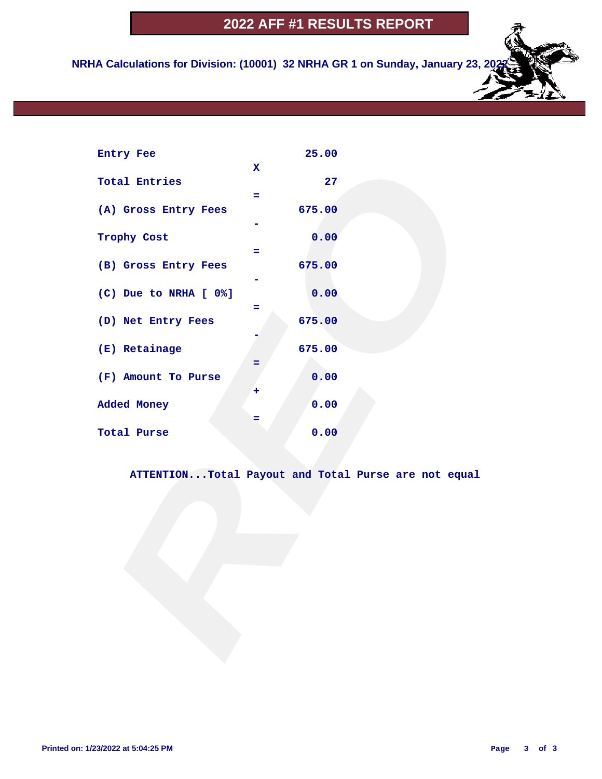# **2022 AFF #1 RESULTS REPORT**

 **NRHA Calculations for Division: (10001) 32 NRHA GR 1 on Sunday, January 23, 20** 

| Entry Fee             | 25.00                                               |
|-----------------------|-----------------------------------------------------|
|                       | $\mathbf x$                                         |
| <b>Total Entries</b>  | 27                                                  |
|                       | ÷                                                   |
| (A) Gross Entry Fees  | 675.00                                              |
| Trophy Cost           | 0.00                                                |
|                       | ÷                                                   |
| (B) Gross Entry Fees  | 675.00                                              |
|                       |                                                     |
| (C) Due to NRHA [ 0%] | 0.00                                                |
|                       | Ξ                                                   |
| (D) Net Entry Fees    | 675.00                                              |
|                       |                                                     |
| (E) Retainage         | 675.00                                              |
|                       |                                                     |
| (F) Amount To Purse   | 0.00                                                |
|                       | +                                                   |
| Added Money           | 0.00                                                |
| Total Purse           | Ξ<br>0.00                                           |
|                       |                                                     |
|                       |                                                     |
|                       | ATTENTIONTotal Payout and Total Purse are not equal |
|                       |                                                     |
|                       |                                                     |
|                       |                                                     |
|                       |                                                     |
|                       |                                                     |
|                       |                                                     |
|                       |                                                     |
|                       |                                                     |
|                       |                                                     |
|                       |                                                     |
|                       |                                                     |
|                       |                                                     |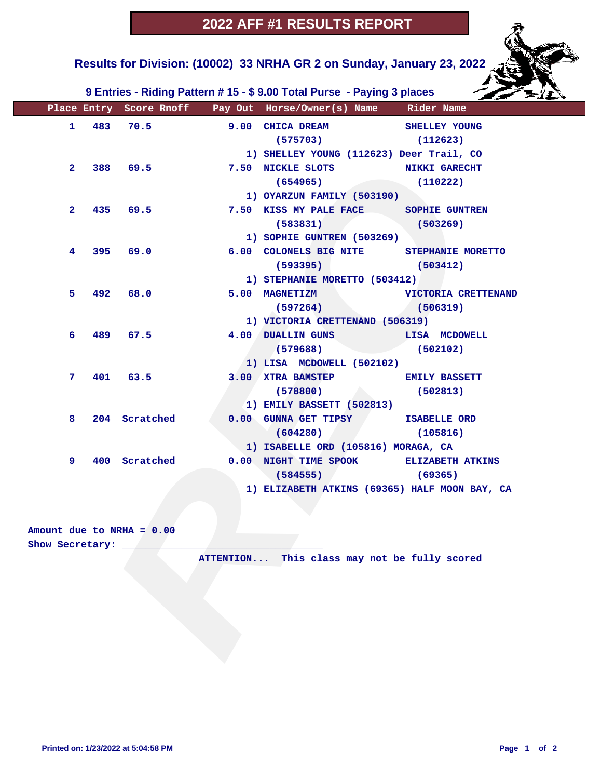**Results for Division: (10002) 33 NRHA GR 2 on Sunday, January 23, 2022** 

 **9 Entries - Riding Pattern # 15 - \$ 9.00 Total Purse - Paying 3 places**

|                   |     |                             |                             | Place Entry Score Rnoff Pay Out Horse/Owner(s) Name Rider Name |               |
|-------------------|-----|-----------------------------|-----------------------------|----------------------------------------------------------------|---------------|
| $\mathbf{1}$      |     | 483 70.5                    |                             | 9.00 CHICA DREAM                                               | SHELLEY YOUNG |
|                   |     |                             |                             | $(575703)$ $(112623)$                                          |               |
|                   |     |                             |                             | 1) SHELLEY YOUNG (112623) Deer Trail, CO                       |               |
|                   |     | 2 388 69.5                  |                             | 7.50 NICKLE SLOTS NIKKI GARECHT                                |               |
|                   |     |                             |                             | (654965)                                                       | (110222)      |
|                   |     |                             |                             | 1) OYARZUN FAMILY (503190)                                     |               |
| $\mathbf{2}$      |     | 435 69.5                    |                             | 7.50 KISS MY PALE FACE SOPHIE GUNTREN                          |               |
|                   |     |                             |                             | $(583831)$ (503269)                                            |               |
|                   |     |                             |                             | 1) SOPHIE GUNTREN (503269)                                     |               |
| $\overline{4}$    |     | 395 69.0                    |                             | 6.00 COLONELS BIG NITE STEPHANIE MORETTO                       |               |
|                   |     |                             |                             | (593395)                                                       | (503412)      |
|                   |     |                             |                             | 1) STEPHANIE MORETTO (503412)                                  |               |
| 5.                | 492 | 68.0                        |                             | 5.00 MAGNETIZM VICTORIA CRETTENAND                             |               |
|                   |     |                             |                             | (597264)                                                       | (506319)      |
|                   |     |                             |                             | 1) VICTORIA CRETTENAND (506319)                                |               |
| 6 -               |     | 489 67.5                    |                             | 4.00 DUALLIN GUNS LISA MCDOWELL                                |               |
|                   |     |                             |                             | (579688)                                                       | (502102)      |
|                   |     |                             |                             | 1) LISA MCDOWELL (502102)                                      |               |
| 7                 |     | 401 63.5                    |                             | 3.00 XTRA BAMSTEP EMILY BASSETT                                |               |
|                   |     |                             |                             | (578800)                                                       | (502813)      |
|                   |     |                             |                             | 1) EMILY BASSETT (502813)                                      |               |
| 8                 |     | 204 Scratched               |                             | 0.00 GUNNA GET TIPSY ISABELLE ORD                              |               |
|                   |     |                             |                             | (604280)                                                       | (105816)      |
|                   |     |                             |                             | 1) ISABELLE ORD (105816) MORAGA, CA                            |               |
| 9                 |     | 400 Scratched               |                             | 0.00 NIGHT TIME SPOOK ELIZABETH ATKINS                         |               |
|                   |     |                             |                             | $(584555)$ (59365)                                             |               |
|                   |     |                             |                             | 1) ELIZABETH ATKINS (69365) HALF MOON BAY, CA                  |               |
|                   |     |                             |                             |                                                                |               |
|                   |     |                             |                             |                                                                |               |
|                   |     | Amount due to NRHA = $0.00$ |                             |                                                                |               |
| Show Secretary: _ |     |                             |                             |                                                                |               |
|                   |     |                             | $\mathtt{ATTENTION} \ldots$ | This class may not be fully scored                             |               |
|                   |     |                             |                             |                                                                |               |
|                   |     |                             |                             |                                                                |               |
|                   |     |                             |                             |                                                                |               |
|                   |     |                             |                             |                                                                |               |
|                   |     |                             |                             |                                                                |               |
|                   |     |                             |                             |                                                                |               |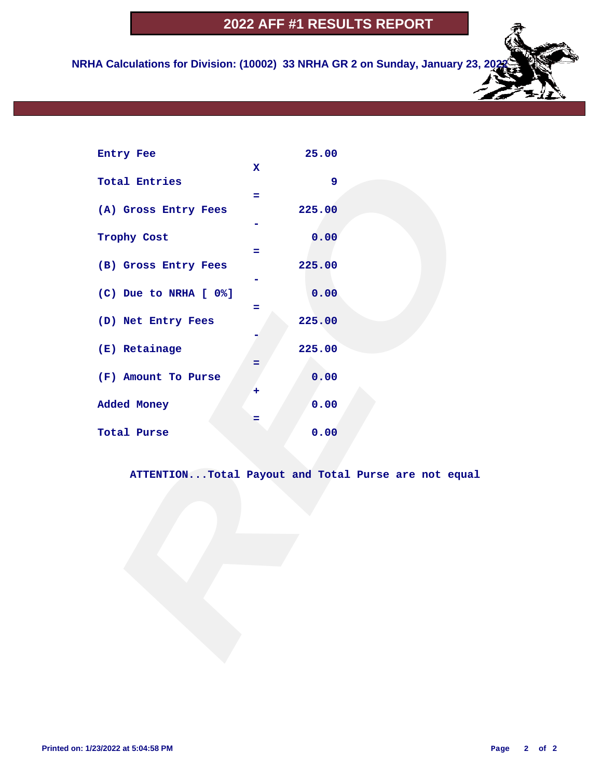# **2022 AFF #1 RESULTS REPORT**

 **NRHA Calculations for Division: (10002) 33 NRHA GR 2 on Sunday, January 23, 20** 

| Entry Fee             | 25.00                                               |
|-----------------------|-----------------------------------------------------|
|                       | $\mathbf x$                                         |
| <b>Total Entries</b>  | 9                                                   |
|                       | ÷                                                   |
| (A) Gross Entry Fees  | 225.00                                              |
|                       |                                                     |
| Trophy Cost           | 0.00                                                |
|                       | $=$                                                 |
| (B) Gross Entry Fees  | 225.00                                              |
|                       |                                                     |
| (C) Due to NRHA [ 0%] | 0.00                                                |
|                       | Ξ                                                   |
| (D) Net Entry Fees    | 225.00                                              |
|                       |                                                     |
| (E) Retainage         | 225.00                                              |
|                       |                                                     |
| (F) Amount To Purse   | 0.00                                                |
|                       | +                                                   |
| Added Money           | 0.00                                                |
|                       | Ξ                                                   |
| Total Purse           | 0.00                                                |
|                       |                                                     |
|                       |                                                     |
|                       | ATTENTIONTotal Payout and Total Purse are not equal |
|                       |                                                     |
|                       |                                                     |
|                       |                                                     |
|                       |                                                     |
|                       |                                                     |
|                       |                                                     |
|                       |                                                     |
|                       |                                                     |
|                       |                                                     |
|                       |                                                     |
|                       |                                                     |
|                       |                                                     |
|                       |                                                     |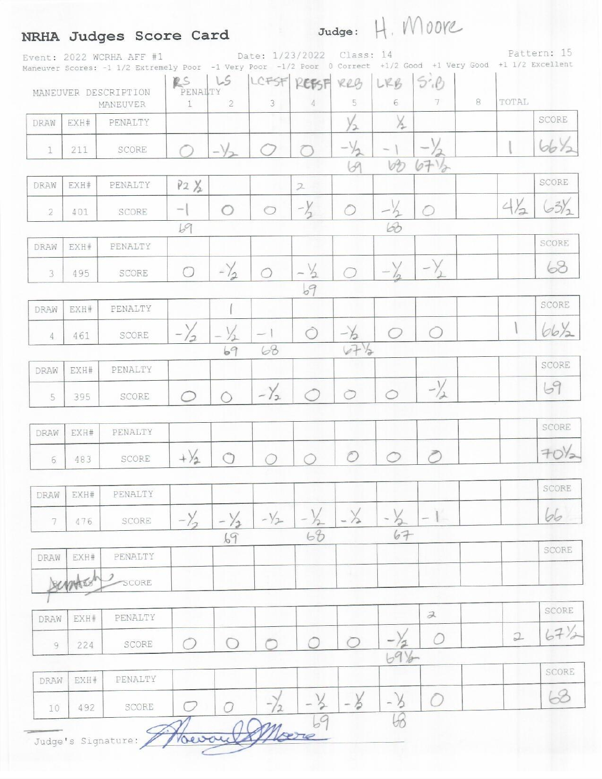#### NRHA Judges Score Card

Judge: H. MOOVe

Pattern: 15 Date: 1/23/2022 Class: 14 Event: 2022 WCRHA AFF #1 Maneuver Scores: -1 1/2 Extremely Poor -1 Very Poor -1/2 Poor 0 Correct +1/2 Good +1 Very Good +1 1/2 Excellent  $RS$   $LS$ LCFSF REBSF RRG LRB  $5.8$ MANEUVER DESCRIPTION PENALTY  $\overline{c}$ 3 5  $\sqrt{6}$ 7 8 TOTAL  $\mathbbm{1}$  $\sqrt{4}$ MANEUVER X SCORE EXH# PENALTY DRAW ۷2  $bb4$  $-\sqrt{2}$  $211$ SCORE 1 69  $bD$  $6712$ SCORE DRAW EXH# PENALTY  $P2 \times$  $\overline{2}$  $-\frac{1}{2}$  $4\frac{1}{2}$  $63/2$  $-\frac{y}{2}$ SCORE  $\circ$  $\circ$ O O  $\overline{2}$ 401 68 69 **SCORE** EXH# PENALTY DRAW 68  $-\frac{1}{2}$  $-\frac{V}{2}$ O  $\overline{3}$ 495 SCORE ◯ ◯  $69$ SCORE PENALTY DRAW EXH#  $-\frac{1}{2}$ 66/2  $\frac{1}{2}$ Ô 0  $-1$ O SCORE  $-\lambda$ 4 461  $67\frac{1}{2}$ 68 69 SCORE EXH# PENALTY DRAW  $-\frac{1}{2}$ 69  $-\gamma_{2}$  $\circ$ 0 SCORE 5 395 ◯ ◯ SCORE DRAW EXH# PENALTY  $70\frac{1}{2}$  $+\frac{1}{2}$ O 0  $\bigcirc$ SCORE  $\bigcirc$  $6\phantom{.}6$ 483 SCORE PENALTY DRAW EXH#  $-\frac{1}{2}$ 66  $-\frac{\gamma}{\sqrt{2}}$  $-\lambda$  $-\frac{1}{2}$  $-y_{2}$  $-1$  $\overline{\gamma}$ SCORE 476 ∕ℶ  $68$ 67 69 SCORE DRAW FXH# PENALTY ATS SCORE SCORE  $\lambda$ PENALTY EXH# DRAW  $67\frac{1}{2}$  $\mathfrak{D}$ O 0 ◯ ∩ C SCORE  $\overline{Q}$ 224 SCORE EXH# PENALTY DRAW 68  $-\frac{1}{2}$ O - 3 ろ  $\circ$  $\sigma$ 492 SCORE 10  $\mathcal{C}$ Marie Vocourt Judge's Signature: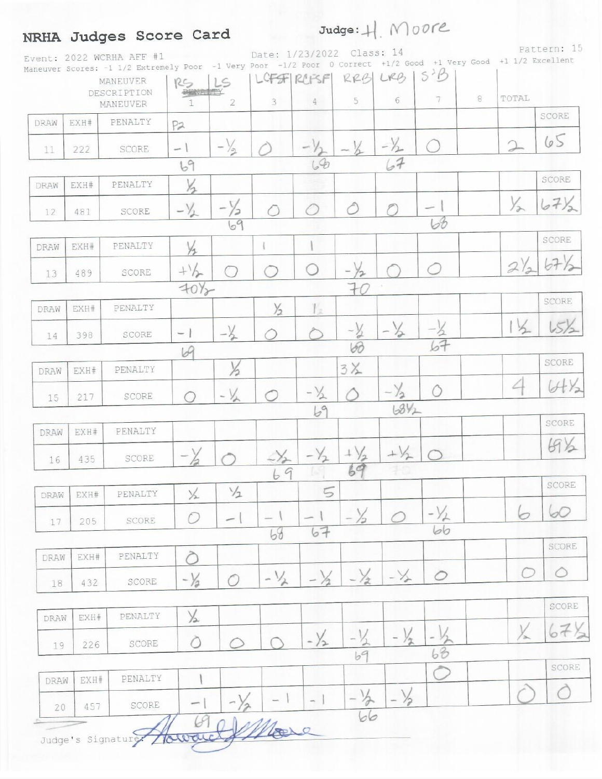### NRHA Judges Score Card

Judge: H Moore

Pattern: 15 Date: 1/23/2022 Class: 14 Event: 2022 WCRHA AFF #1 Maneuver Scores: -1 1/2 Extremely Poor -1 Very Poor -1/2 Poor 0 Correct +1/2 Good +1 Very Good +1 1/2 Excellent LOFSF REFSF RRB LRB 15B LS **MANEUVER** RS DESCRIPTION **PRNATTY** 8 TOTAL 5 6  $\overline{7}$ 3  $\overline{2}$  $\overline{4}$ MANEUVER 1 SCORE PENALTY DRAW EXH#  $P2$  $65$  $-\frac{1}{2}$  $-\frac{1}{2}$  $-\frac{1}{2}$ SCORE - 1 11 222  $67$  $68$ 69 SCORE X DRAW EXH# PENALTY  $67%$  $\frac{1}{2}$  $-\frac{1}{2}$  $-\frac{1}{2}$ ∂  $-1$ SCORE ◯ 12 481  $b\theta$ 69 SCORE  $\frac{1}{2}$ PENALTY  $\mathbb{I}$  $\mathbf{I}$ EXH# DRAW  $676$  $2)$  $-\sqrt{2}$  $+\frac{1}{2}$ O O O  $13$ 489 SCORE  $70\frac{1}{2}$  $70$ SCORE EXH# PENALTY  $\frac{1}{2}$  $V_{\rm{m}}$ DRAW  $\frac{1}{2}$  $15\frac{1}{2}$  $\mathbf{I}$  $-36$  $-\frac{1}{2}$  $-1$ SCORE 14 398 60 69 SCORE  $3X$ X PENALTY DRAW EXH# 4  $U+\frac{1}{2}$  $-\frac{1}{2}$  $-\frac{1}{2}$  $-\frac{1}{2}$ O SCORE 217 ◯ 15  $69$  $68\%$ SCORE DRAW EXH# PENALTY  $69\%$  $+\sqrt{2}$  $-\frac{1}{2}$  $+\frac{1}{2}$  $\mathcal{S}_{\mathbf{2}}$ SCORE 16 435 69 69 SCORE  $\frac{1}{2}$ 5 PENALTY  $\times$ DRAW EXH#  $-\frac{1}{2}$ 60 6  $-1$  $-1$ O  $-$ SCORE 205 17  $bb$ 67 68 SCORE PENALTY ∂ DRAW EXH#  $-\frac{1}{2}$  $-\sqrt{2}$ O  $\circ$  $-\frac{1}{2}$  $-1/$  $-\frac{1}{2}$ 0 0 SCORE 18 432 SCORE  $\frac{1}{2}$ EXH# PENALTY DRAW  $\frac{1}{2}$  $67$  $-\frac{1}{2}$ 玍 O SCORE ○ 226 19 63 SCORE EXH# PENALTY  $\mathbf{I}$ DRAW C  $\frac{1}{2}$ 今  $-1$  $\sim$  $-1$ SCORE 457 20 Noore Howaic Judge's Signature